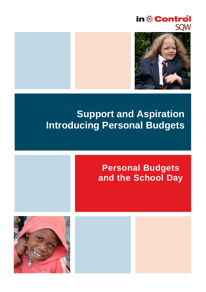



# **Support and Aspiration Introducing Personal Budgets**

## **Personal Budgets and the School Day**

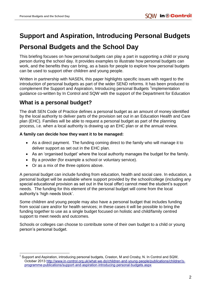## **Support and Aspiration, Introducing Personal Budgets**

## **Personal Budgets and the School Day**

This briefing focuses on how personal budgets can play a part in supporting a child or young person during the school day. It provides examples to illustrate how personal budgets can work, and the benefits they can bring, as a basis for people to explore how personal budgets can be used to support other children and young people.

Written in partnership with NASEN, this paper highlights specific issues with regard to the introduction of personal budgets as part of the wider SEND reforms. It has been produced to complement the Support and Aspiration, Introducing personal Budgets <sup>1</sup>implementation guidance co-written by In Control and SQW with the support of the Department for Education

### **What is a personal budget?**

The draft SEN Code of Practice defines a personal budget as an amount of money identified by the local authority to deliver parts of the provision set out in an Education Health and Care plan (EHC). Families will be able to request a personal budget as part of the planning process, i.e. when a local authority is drawing up an EHC plan or at the annual review.

#### **A family can decide how they want it to be managed:**

- As a direct payment. The funding coming direct to the family who will manage it to deliver support as set out in the EHC plan.
- As an 'organised budget' where the local authority manages the budget for the family.
- By a provider (for example a school or voluntary service).
- Or as a mix of the three options above.

A personal budget can include funding from education, health and social care. In education, a personal budget will be available where support provided by the school/college (including any special educational provision as set out in the local offer) cannot meet the student's support needs. The funding for this element of the personal budget will come from the local authority's 'high needs block'.

Some children and young people may also have a personal budget that includes funding from social care and/or for health services; in these cases it will be possible to bring the funding together to use as a single budget focused on holistic and child/family centred support to meet needs and outcomes.

Schools or colleges can choose to contribute some of their own budget to a child or young person's personal budget.

 $\overline{\phantom{a}}$ 1 Support and Aspiration, introducing personal budgets, Craston, M and Crosby, N. In Control and SQW, October 2013 [http://www.in-control.org.uk/what-we-do/children-and-young-people/publications/children's](http://www.in-control.org.uk/what-we-do/children-and-young-people/publications/children)[programme-publications/support-and-aspiration-introducing-personal-budgets.aspx](http://www.in-control.org.uk/what-we-do/children-and-young-people/publications/children)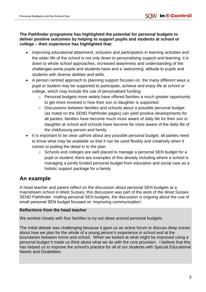#### **The Pathfinder programme has highlighted the potential for personal budgets to deliver positive outcomes by helping to support pupils and students at school or college – their experience has highlighted that:**

- Improving educational attainment, inclusion and participation in learning activities and the wider life of the school is not only down to personalising support and learning; it is down to whole school approaches, increased awareness and understanding of the challenges some pupils and students have and a 'welcoming' attitude to pupils and students with diverse abilities and skills.
- A person centred approach to planning support focuses on the many different ways a pupil or student may be supported to participate, achieve and enjoy life at school or college, which may include the use of personalised funding:
	- o Personal budgets more widely have offered families a much greater opportunity to get more involved in how their son or daughter is supported.
	- o Discussions between families and schools about a possible personal budget (as noted on the SEND Pathfinder pages) can yield positive developments for all parties; families have become much more aware of daily life for their son or daughter at school and schools have become far more aware of the daily life of the child/young person and family.
- It is important to be clear upfront about any possible personal budget; all parties need to know what may be available so that it can be used flexibly and creatively when it comes to putting the detail in to the plan.
	- o Schools and colleges are well placed to manage a personal SEN budget for a pupil or student; there are examples of this already including where a school is managing a jointly funded personal budget from education and social care as a holistic support package for a family.

## **An example**

A head teacher and parent reflect on the discussion about personal SEN budgets at a mainstream school in West Sussex; this discussion was part of the work of the West Sussex SEND Pathfinder trialling personal SEN budgets, the discussion is ongoing about the use of small personal SEN budget focused on 'improving communication'.

#### **Reflections from the head teacher**

We worked closely with four families to try out ideas around personal budgets.

The initial debate was challenging because it gave us an active forum to discuss deep issues about how we plan for the whole of a young person's experience in school and at the boundaries between home and school. When we looked at what might be improved using a personal budget it made us think about what we do with the core provision. I believe that this has helped us to improve the school's practice for all of our students with Special Educational Needs and Disabilities.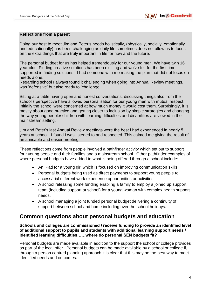#### **Reflections from a parent**

Doing our best to meet Jim and Peter's needs holistically, (physically, socially, emotionally and educationally) has been challenging as daily life sometimes does not allow us to focus on the extra things that are truly important in life for now and the future.

The personal budget for us has helped tremendously for our young men. We have twin 16 year olds. Finding creative solutions has been exciting and we've felt for the first time supported in finding solutions. I had someone with me making the plan that did not focus on needs alone.

Regarding school I always found it challenging when going into Annual Review meetings. I was 'defensive' but also ready to 'challenge'.

Sitting at a table having open and honest conversations, discussing things also from the school's perspective have allowed personalisation for our young men with mutual respect. Initially the school were concerned at how much money it would cost them. Surprisingly, it is mostly about good practice and getting closer to inclusion by simple strategies and changing the way young people/ children with learning difficulties and disabilities are viewed in the mainstream setting.

Jim and Peter's last Annual Review meetings were the best I had experienced in nearly 5 years at school. I found I was listened to and respected. This calmed me giving the result of an amicable and easier meeting.

These reflections come from people involved a pathfinder activity which set out to support four young people and their families and a mainstream school. Other pathfinder examples of where personal budgets have added to what is being offered through a school include:

- An iPad for a young girl which is focused on improving communication skills.
- Personal budgets being used as direct payments to support young people to access/trial different work experience opportunities or activities.
- A school releasing some funding enabling a family to employ a joined up support team (including support at school) for a young woman with complex health support needs.
- A school managing a joint funded personal budget delivering a continuity of support between school and home including over the school holidays.

#### **Common questions about personal budgets and education**

**Schools and colleges are commissioned / receive funding to provide an identified level of additional support to pupils and students with additional learning support needs / identified learning difficulties……where do personal SEN budgets fit?** 

Personal budgets are made available in addition to the support the school or college provides as part of the local offer. Personal budgets can be made available by a school or college if, through a person centred planning approach it is clear that this may be the best way to meet identified needs and outcomes.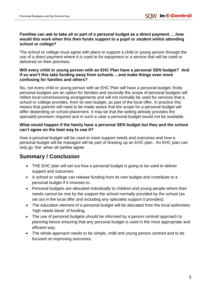#### **Families can ask to take all or part of a personal budget as a direct payment…..how would this work when this then funds support to a pupil or student whilst attending school or college?**

The school or college must agree with plans to support a child or young person through the use of a direct payment where it is used to for equipment or a service that will be used or delivered on their premises.

#### **Will every child or young person with an EHC Plan have a personal SEN budget? And if so won't this take funding away from schools….and make things even more confusing for families and others?**

No, not every child or young person with an EHC Plan will have a personal budget; firstly personal budgets are an option for families and secondly the scope of personal budgets will reflect local commissioning arrangements and will not normally be used for services that a school or college provides, from its own budget, as part of the local offer. In practice this means that parents will need to be made aware that the scope for a personal budget will differ depending on school placement. It may be that the setting already provides the specialist provision required and in such a case a personal budget would not be available. *.*

#### **What would happen if the family have a personal SEN budget but they and the school can't agree on the best way to use it?**

How a personal budget will be used to meet support needs and outcomes and how a personal budget will be managed will be part of drawing up an EHC plan. An EHC plan can only go 'live' when all parties agree.

## **Summary / Conclusion**

- THE EHC plan will set out how a personal budget is going to be used to deliver support and outcomes.
- A school or college can release funding from its own budget and contribute to a personal budget if it chooses to.
- Personal budgets are allocated individually to children and young people where their needs cannot be met by the support the school normally provided by the school (as set out in the local offer and including any specialist support it provides).
- The education element of a personal budget will be allocated from the local authorities 'high needs block' of funding.
- The use of personal budgets should be informed by a person centred approach to planning hence ensuring that any personal budget is used in the most appropriate and efficient way.
- The whole approach needs to be simple, child and young person centred and to be focused on improving outcomes.